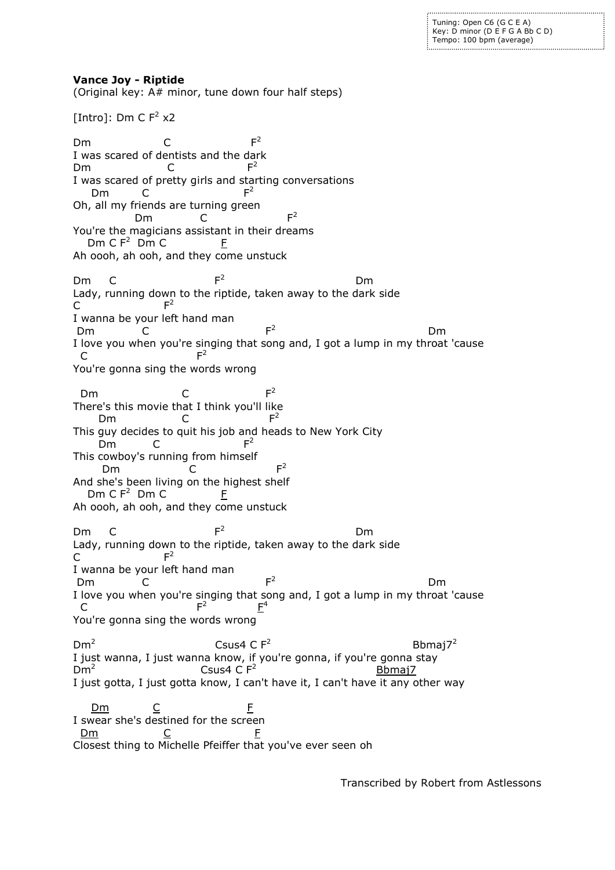Tuning: Open C6 (G C E A) Key: D minor (D E F G A Bb C D) Tempo: 100 bpm (average)

**Vance Joy - Riptide** (Original key: A# minor, tune down four half steps) [Intro]: Dm C  $F^2 \times 2$ Dm C F  $F<sup>2</sup>$ I was scared of dentists and the dark Dm C F  $F<sup>2</sup>$ I was scared of pretty girls and starting conversations Dm C F  $F<sup>2</sup>$ Oh, all my friends are turning green Dm C F  $F<sup>2</sup>$ You're the magicians assistant in their dreams Dm C F $^2$  Dm C  $_F$  F Ah oooh, ah ooh, and they come unstuck  $Dm$  C  $F<sup>2</sup>$  Dm Lady, running down to the riptide, taken away to the dark side  $\mathsf{C}$  $F^2$ I wanna be your left hand man Dm C F  $F<sup>2</sup>$ <u>de la componenta de la componenta de la componenta de la componenta de la componenta de la componenta de la c</u> I love you when you're singing that song and, I got a lump in my throat 'cause C<sub>F</sub>  $F^2$ You're gonna sing the words wrong Dm C F  $F<sup>2</sup>$ There's this movie that I think you'll like Dm C F  $F^2$ This guy decides to quit his job and heads to New York City Dm C  $F^2$ This cowboy's running from himself Dm C  $F<sup>2</sup>$ And she's been living on the highest shelf Dm C  $F^2$  Dm C  $F$ Ah oooh, ah ooh, and they come unstuck Dm C  $F<sup>2</sup>$  Dm Lady, running down to the riptide, taken away to the dark side C F  $F^2$ I wanna be your left hand man Dm C F  $F<sup>2</sup>$ <u>Dmitter and the control of the Dmitter and the Control of the Control of the Control of the Control of the Con</u> I love you when you're singing that song and, I got a lump in my throat 'cause C<sub>F</sub>  $F<sup>2</sup>$  $E^4$ You're gonna sing the words wrong  $Dm<sup>2</sup>$ **CSUS4 C F<sup>2</sup>**  Bbmaj7<sup>2</sup> I just wanna, I just wanna know, if you're gonna, if you're gonna stay  $Dm<sup>2</sup>$  $\sim$  Csus4 C  $F^2$  Bbmaj7 I just gotta, I just gotta know, I can't have it, I can't have it any other way  $\mathsf{Dm}$   $\mathsf{C}$   $\mathsf{F}$ I swear she's destined for the screen <u>Dm</u> C <u>F</u>

Closest thing to Michelle Pfeiffer that you've ever seen oh

Transcribed by Robert from Astlessons